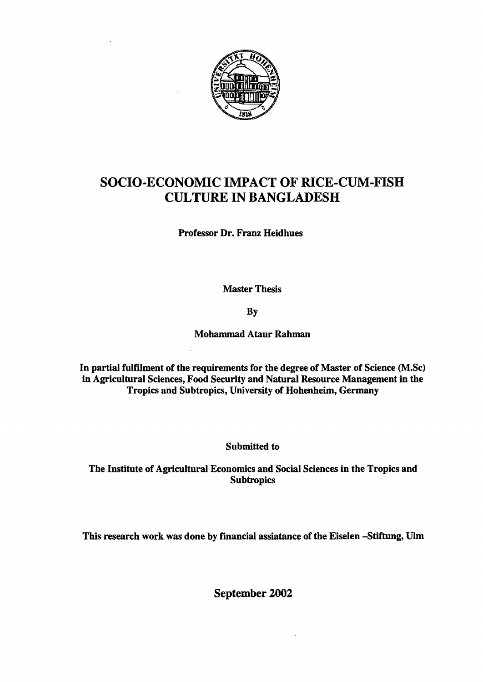

## SOCIO-ECONOMIC IMPACT OF RICE-CUM-FISH CULTURE IN BANGLADESH

Professor Dr. Franz Heidhues

Master Thesis

By

Mohammad Ataur Rahman

In partial fulfilment of the requirements for the degree of Master of Science (M.Sc) in Agricultural Sciences, Food Security and Natural Resource Management in the Tropics and Subtropics, University of Hohenheim, Germany

Submitted to

The Institute of AgriculturaI Economics and Social Sciences in the Tropics and **Subtropics** 

This research work was done by financial assiatance of the Eiselen -Stiftung, Ulm

September 2002